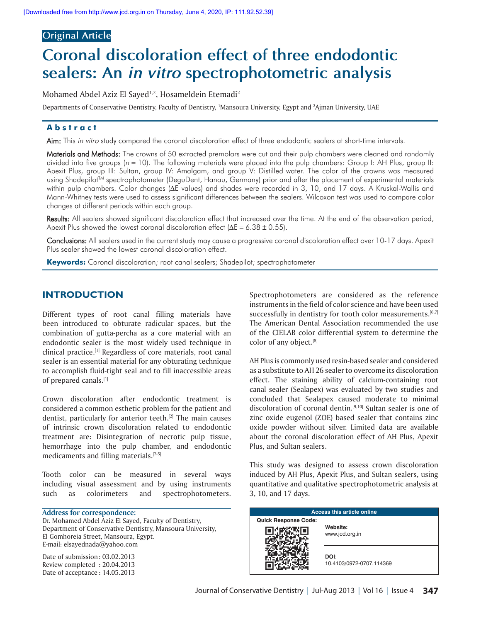# **Original Article**

# **Coronal discoloration effect of three endodontic sealers: An in vitro spectrophotometric analysis**

Mohamed Abdel Aziz El Sayed<sup>1,2</sup>, Hosameldein Etemadi<sup>2</sup>

Departments of Conservative Dentistry, Faculty of Dentistry, 'Mansoura University, Egypt and <sup>2</sup>Ajman University, UAE

# **Abstract**

Aim: This in vitro study compared the coronal discoloration effect of three endodontic sealers at short-time intervals.

Materials and Methods: The crowns of 50 extracted premolars were cut and their pulp chambers were cleaned and randomly divided into five groups ( $n=10$ ). The following materials were placed into the pulp chambers: Group I: AH Plus, group II: Apexit Plus, group III: Sultan, group IV: Amalgam, and group V: Distilled water. The color of the crowns was measured using Shadepilot<sup>™</sup> spectrophotometer (DeguDent, Hanau, Germany) prior and after the placement of experimental materials within pulp chambers. Color changes ( $\Delta E$  values) and shades were recorded in 3, 10, and 17 days. A Kruskal-Wallis and Mann-Whitney tests were used to assess significant differences between the sealers. Wilcoxon test was used to compare color changes at different periods within each group.

Results: All sealers showed significant discoloration effect that increased over the time. At the end of the observation period, Apexit Plus showed the lowest coronal discoloration effect ( $\Delta E = 6.38 \pm 0.55$ ).

Conclusions: All sealers used in the current study may cause a progressive coronal discoloration effect over 10-17 days. Apexit Plus sealer showed the lowest coronal discoloration effect.

**Keywords:** Coronal discoloration; root canal sealers; Shadepilot; spectrophotometer

# **INTRODUCTION**

Different types of root canal filling materials have been introduced to obturate radicular spaces, but the combination of gutta-percha as a core material with an endodontic sealer is the most widely used technique in clinical practice.[1] Regardless of core materials, root canal sealer is an essential material for any obturating technique to accomplish fluid-tight seal and to fill inaccessible areas of prepared canals.[1]

Crown discoloration after endodontic treatment is considered a common esthetic problem for the patient and dentist, particularly for anterior teeth.[2] The main causes of intrinsic crown discoloration related to endodontic treatment are: Disintegration of necrotic pulp tissue, hemorrhage into the pulp chamber, and endodontic medicaments and filling materials.[2-5]

Tooth color can be measured in several ways including visual assessment and by using instruments such as colorimeters and spectrophotometers.

#### **Address for correspondence:**

Dr. Mohamed Abdel Aziz El Sayed, Faculty of Dentistry, Department of Conservative Dentistry, Mansoura University, El Gomhoreia Street, Mansoura, Egypt. E-mail: elsayednada@yahoo.com

Date of submission : 03.02.2013 Review completed : 20.04.2013 Date of acceptance : 14.05.2013 Spectrophotometers are considered as the reference instruments in the field of color science and have been used successfully in dentistry for tooth color measurements. $[6,7]$ The American Dental Association recommended the use of the CIELAB color differential system to determine the color of any object.<sup>[8]</sup>

AH Plus is commonly used resin-based sealer and considered as a substitute to AH 26 sealer to overcome its discoloration effect. The staining ability of calcium-containing root canal sealer (Sealapex) was evaluated by two studies and concluded that Sealapex caused moderate to minimal discoloration of coronal dentin.<sup>[9,10]</sup> Sultan sealer is one of zinc oxide eugenol (ZOE) based sealer that contains zinc oxide powder without silver. Limited data are available about the coronal discoloration effect of AH Plus, Apexit Plus, and Sultan sealers.

This study was designed to assess crown discoloration induced by AH Plus, Apexit Plus, and Sultan sealers, using quantitative and qualitative spectrophotometric analysis at 3, 10, and 17 days.

| <b>Access this article online</b> |                                  |  |  |  |
|-----------------------------------|----------------------------------|--|--|--|
| <b>Quick Response Code:</b>       | Website:<br>www.jcd.org.in       |  |  |  |
|                                   | DOI:<br>10.4103/0972-0707.114369 |  |  |  |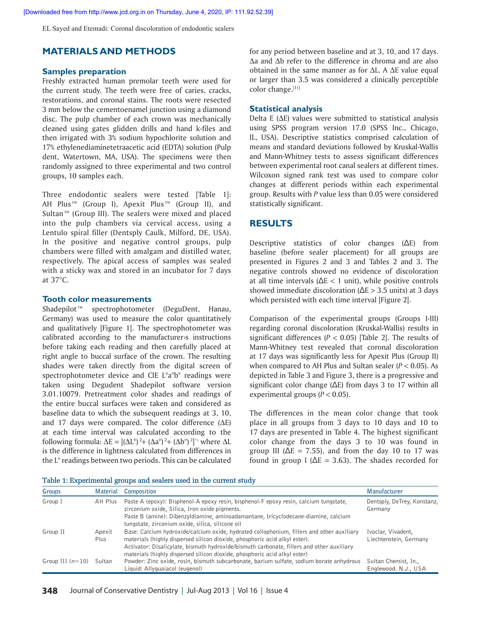EL Sayed and Etemadi: Coronal discoloration of endodontic sealers

# **MATERIALS AND METHODS**

#### **Samples preparation**

Freshly extracted human premolar teeth were used for the current study. The teeth were free of caries, cracks, restorations, and coronal stains. The roots were resected 3 mm below the cementoenamel junction using a diamond disc. The pulp chamber of each crown was mechanically cleaned using gates glidden drills and hand k-files and then irrigated with 3% sodium hypochlorite solution and 17% ethylenediaminetetraacetic acid (EDTA) solution (Pulp dent, Watertown, MA, USA). The specimens were then randomly assigned to three experimental and two control groups, 10 samples each.

Three endodontic sealers were tested [Table 1]: AH Plus™ (Group I), Apexit Plus™ (Group II), and Sultan™ (Group III). The sealers were mixed and placed into the pulp chambers via cervical access, using a Lentulo spiral filler (Dentsply Caulk, Milford, DE, USA). In the positive and negative control groups, pulp chambers were filled with amalgam and distilled water, respectively. The apical access of samples was sealed with a sticky wax and stored in an incubator for 7 days at 37°C.

#### **Tooth color measurements**

Shadepilot™ spectrophotometer (DeguDent, Hanau, Germany) was used to measure the color quantitatively and qualitatively [Figure 1]. The spectrophotometer was calibrated according to the manufacturer›s instructions before taking each reading and then carefully placed at right angle to buccal surface of the crown. The resulting shades were taken directly from the digital screen of spectrophotometer device and CIE L\*a\*b\* readings were taken using Degudent Shadepilot software version 3.01.10079. Pretreatment color shades and readings of the entire buccal surfaces were taken and considered as baseline data to which the subsequent readings at 3, 10, and 17 days were compared. The color difference  $(\Delta E)$ at each time interval was calculated according to the following formula:  $\Delta E = [(\Delta L^*)^2 + (\Delta a^*)^2 + (\Delta b^*)^2]^{1/2}$  where  $\Delta L$ is the difference in lightness calculated from differences in the L\* readings between two periods. This can be calculated for any period between baseline and at 3, 10, and 17 days.  $\Delta$ a and  $\Delta$ b refer to the difference in chroma and are also obtained in the same manner as for  $\Delta L$ . A  $\Delta E$  value equal or larger than 3.5 was considered a clinically perceptible color change.[11]

### **Statistical analysis**

Delta E ( $\Delta$ E) values were submitted to statistical analysis using SPSS program version 17.0 (SPSS Inc., Chicago, IL, USA). Descriptive statistics comprised calculation of means and standard deviations followed by Kruskal-Wallis and Mann-Whitney tests to assess significant differences between experimental root canal sealers at different times. Wilcoxon signed rank test was used to compare color changes at different periods within each experimental group. Results with *P* value less than 0.05 were considered statistically significant.

## **RESULTS**

Descriptive statistics of color changes (∆E) from baseline (before sealer placement) for all groups are presented in Figures 2 and 3 and Tables 2 and 3. The negative controls showed no evidence of discoloration at all time intervals ( $\Delta E < 1$  unit), while positive controls showed immediate discoloration ( $\Delta E > 3.5$  units) at 3 days which persisted with each time interval [Figure 2].

Comparison of the experimental groups (Groups I-III) regarding coronal discoloration (Kruskal-Wallis) results in significant differences  $(P < 0.05)$  [Table 2]. The results of Mann-Whitney test revealed that coronal discoloration at 17 days was significantly less for Apexit Plus (Group II) when compared to AH Plus and Sultan sealer  $(P<0.05)$ . As depicted in Table 3 and Figure 3, there is a progressive and significant color change (∆E) from days 3 to 17 within all experimental groups  $(P < 0.05)$ .

The differences in the mean color change that took place in all groups from 3 days to 10 days and 10 to 17 days are presented in Table 4. The highest significant color change from the days 3 to 10 was found in group III ( $\Delta E = 7.55$ ), and from the day 10 to 17 was found in group I ( $\Delta E = 3.63$ ). The shades recorded for

| Groups             | Material       | <b>Composition</b>                                                                                                                                                                                                                                                                                                       | Manufacturer                                 |
|--------------------|----------------|--------------------------------------------------------------------------------------------------------------------------------------------------------------------------------------------------------------------------------------------------------------------------------------------------------------------------|----------------------------------------------|
| Group I            | AH Plus        | Paste A (epoxy): Bisphenol-A epoxy resin, bisphenol-F epoxy resin, calcium tungstate,<br>zirconium oxide, Silica, Iron oxide pigments.<br>Paste B (amine): Dibenzyldiamine, aminoadamantane, tricyclodecane-diamine, calcium                                                                                             | Dentsply, DeTrey, Konstanz,<br>Germany       |
| Group II           | Apexit<br>Plus | tungstate, zirconium oxide, silica, silicone oil<br>Base: Calcium hydroxide/calcium oxide, hydrated collophonium, fillers and other auxiliary<br>materials (highly dispersed silicon dioxide, phosphoric acid alkyl ester).<br>Activator: Disalicylate, bismuth hydroxide/bismuth carbonate, fillers and other auxiliary | Ivoclar, Vivadent,<br>Liechtenstein, Germany |
| Group III $(n=10)$ | Sultan         | materials (highly dispersed silicon dioxide, phosphoric acid alkyl ester)<br>Powder: Zinc oxide, rosin, bismuth subcarbonate, barium sulfate, sodium borate anhydrous<br>Liguid: Allyguaiacol (eugenol)                                                                                                                  | Sultan Chemist, In.,<br>Englewood. N.J., USA |

**Table 1: Experimental groups and sealers used in the current study**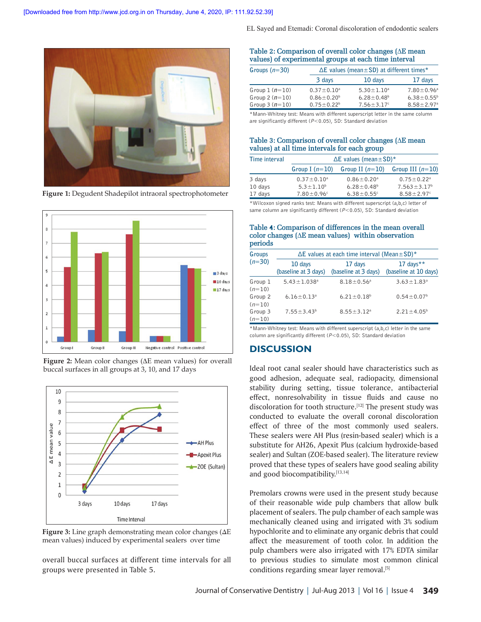

**Figure 1:** Degudent Shadepilot intraoral spectrophotometer



**Figure 2:** Mean color changes ( $\Delta E$  mean values) for overall buccal surfaces in all groups at 3, 10, and 17 days



**Figure 3:** Line graph demonstrating mean color changes (∆E mean values) induced by experimental sealers over time

overall buccal surfaces at different time intervals for all groups were presented in Table 5.

EL Sayed and Etemadi: Coronal discoloration of endodontic sealers

| Table 2: Comparison of overall color changes ( $\Delta E$ mean |  |
|----------------------------------------------------------------|--|
| values) of experimental groups at each time interval           |  |
|                                                                |  |

| Groups $(n=30)$ | $\Delta E$ values (mean $\pm$ SD) at different times* |                              |                              |  |  |
|-----------------|-------------------------------------------------------|------------------------------|------------------------------|--|--|
|                 | 3 days                                                | 10 days                      | 17 days                      |  |  |
| Group $1(n=10)$ | $0.37 \pm 0.10^a$                                     | $5.30 \pm 1.10^a$            | $7.80 \pm 0.96$ <sup>a</sup> |  |  |
| Group $2(n=10)$ | $0.86 \pm 0.20^b$                                     | $6.28 \pm 0.48^{\circ}$      | $6.38 \pm 0.55^b$            |  |  |
| Group $3(n=10)$ | $0.75 \pm 0.22^b$                                     | $7.56 \pm 3.17$ <sup>c</sup> | $8.58 \pm 2.97$ <sup>a</sup> |  |  |
|                 |                                                       |                              |                              |  |  |

\*Mann-Whitney test: Means with different superscript letter in the same column are significantly different (*P*<0.05), SD: Standard deviation

#### Table 3: Comparison of overall color changes ( $\Delta E$  mean **values) at all time intervals for each group**

| Time interval | $\Delta E$ values (mean $\pm$ SD) <sup>*</sup> |                              |                              |  |  |  |  |
|---------------|------------------------------------------------|------------------------------|------------------------------|--|--|--|--|
|               | Group I $(n=10)$                               | Group II $(n=10)$            | Group III $(n=10)$           |  |  |  |  |
| 3 days        | $0.37 \pm 0.10^a$                              | $0.86 \pm 0.20$ <sup>a</sup> | $0.75 \pm 0.22$ <sup>a</sup> |  |  |  |  |
| 10 days       | $5.3 \pm 1.10^b$                               | $6.28 + 0.48^b$              | $7.563 \pm 3.17^b$           |  |  |  |  |
| 17 days       | $7.80 \pm 0.96^{\circ}$                        | $6.38 \pm 0.55$ °            | $8.58 \pm 2.97$ °            |  |  |  |  |
|               |                                                |                              |                              |  |  |  |  |

\*Wilcoxon signed ranks test: Means with different superscript (a,b,c) letter of same column are significantly different (*P*<0.05), SD: Standard deviation

#### **Table 4: Comparison of differences in the mean overall**  color changes  $(\Delta E \text{ mean values})$  within observation **periods**

| Groups              | $\Delta$ E values at each time interval (Mean $\pm$ SD)* |                                 |                                       |  |  |  |
|---------------------|----------------------------------------------------------|---------------------------------|---------------------------------------|--|--|--|
| $(n=30)$            | 10 days<br>(baseline at 3 days)                          | 17 days<br>(baseline at 3 days) | 17 days $**$<br>(baseline at 10 days) |  |  |  |
| Group 1<br>$(n=10)$ | $5.43 \pm 1.038$ <sup>a</sup>                            | $8.18 \pm 0.56^a$               | $3.63 \pm 1.83$ <sup>a</sup>          |  |  |  |
| Group 2<br>$(n=10)$ | $6.16 \pm 0.13$ <sup>a</sup>                             | $6.21 \pm 0.18$ <sup>b</sup>    | $0.54 \pm 0.07^b$                     |  |  |  |
| Group 3<br>$(n=10)$ | $7.55 \pm 3.43^b$                                        | $8.55 \pm 3.12^a$               | $2.21 \pm 4.05^{\circ}$               |  |  |  |

\*Mann-Whitney test: Means with different superscript (a,b,c) letter in the same column are significantly different (*P*<0.05), SD: Standard deviation

# **DISCUSSION**

Ideal root canal sealer should have characteristics such as good adhesion, adequate seal, radiopacity, dimensional stability during setting, tissue tolerance, antibacterial effect, nonresolvability in tissue fluids and cause no discoloration for tooth structure.<sup>[12]</sup> The present study was conducted to evaluate the overall coronal discoloration effect of three of the most commonly used sealers. These sealers were AH Plus (resin-based sealer) which is a substitute for AH26, Apexit Plus (calcium hydroxide-based sealer) and Sultan (ZOE-based sealer). The literature review proved that these types of sealers have good sealing ability and good biocompatibility.[13,14]

Premolars crowns were used in the present study because of their reasonable wide pulp chambers that allow bulk placement of sealers. The pulp chamber of each sample was mechanically cleaned using and irrigated with 3% sodium hypochlorite and to eliminate any organic debris that could affect the measurement of tooth color. In addition the pulp chambers were also irrigated with 17% EDTA similar to previous studies to simulate most common clinical conditions regarding smear layer removal.<sup>[5]</sup>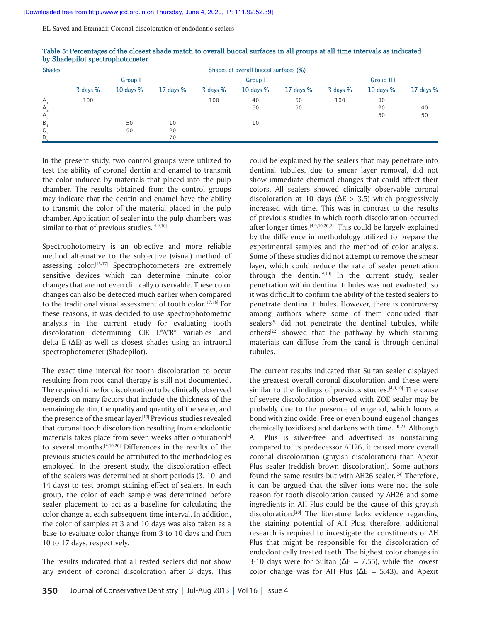EL Sayed and Etemadi: Coronal discoloration of endodontic sealers

| <b>Shades</b> | Shades of overall buccal surfaces (%) |             |             |                 |             |             |                  |             |             |
|---------------|---------------------------------------|-------------|-------------|-----------------|-------------|-------------|------------------|-------------|-------------|
|               | Group I                               |             |             | <b>Group II</b> |             |             | <b>Group III</b> |             |             |
|               | 3 days %                              | 10 days $%$ | 17 days $%$ | $3$ days $%$    | 10 days $%$ | 17 days $%$ | $3$ days $%$     | 10 days $%$ | 17 days $%$ |
| A,            | 100                                   |             |             | 100             | 40          | 50          | 100              | 30          |             |
| A,            |                                       |             |             |                 | 50          | 50          |                  | 20          | 40          |
| $A_{\lambda}$ |                                       |             |             |                 |             |             |                  | 50          | 50          |
| B.            |                                       | 50          | 10          |                 | 10          |             |                  |             |             |
| C,            |                                       | 50          | 20          |                 |             |             |                  |             |             |
| D,            |                                       |             | 70          |                 |             |             |                  |             |             |

**Table 5: Percentages of the closest shade match to overall buccal surfaces in all groups at all time intervals as indicated by Shadepilot spectrophotometer**

In the present study, two control groups were utilized to test the ability of coronal dentin and enamel to transmit the color induced by materials that placed into the pulp chamber. The results obtained from the control groups may indicate that the dentin and enamel have the ability to transmit the color of the material placed in the pulp chamber. Application of sealer into the pulp chambers was similar to that of previous studies.[4,9,10]

Spectrophotometry is an objective and more reliable method alternative to the subjective (visual) method of assessing color.<sup>[15-17]</sup> Spectrophotometers are extremely sensitive devices which can determine minute color changes that are not even clinically observable. These color changes can also be detected much earlier when compared to the traditional visual assessment of tooth color.<sup>[17,18]</sup> For these reasons, it was decided to use spectrophotometric analysis in the current study for evaluating tooth discoloration determining CIE L\*A\*B\* variables and delta E ( $\Delta E$ ) as well as closest shades using an intraoral spectrophotometer (Shadepilot).

The exact time interval for tooth discoloration to occur resulting from root canal therapy is still not documented. The required time for discoloration to be clinically observed depends on many factors that include the thickness of the remaining dentin, the quality and quantity of the sealer, and the presence of the smear layer.<sup>[19]</sup> Previous studies revealed that coronal tooth discoloration resulting from endodontic materials takes place from seven weeks after obturation $[4]$ to several months.[9,10,20] Differences in the results of the previous studies could be attributed to the methodologies employed. In the present study, the discoloration effect of the sealers was determined at short periods (3, 10, and 14 days) to test prompt staining effect of sealers. In each group, the color of each sample was determined before sealer placement to act as a baseline for calculating the color change at each subsequent time interval. In addition, the color of samples at 3 and 10 days was also taken as a base to evaluate color change from 3 to 10 days and from 10 to 17 days, respectively.

The results indicated that all tested sealers did not show any evident of coronal discoloration after 3 days. This could be explained by the sealers that may penetrate into dentinal tubules, due to smear layer removal, did not show immediate chemical changes that could affect their colors. All sealers showed clinically observable coronal discoloration at 10 days ( $\Delta E > 3.5$ ) which progressively increased with time. This was in contrast to the results of previous studies in which tooth discoloration occurred after longer times. $[4,9,10,20,21]$  This could be largely explained by the difference in methodology utilized to prepare the experimental samples and the method of color analysis. Some of these studies did not attempt to remove the smear layer, which could reduce the rate of sealer penetration through the dentin.<sup>[9,10]</sup> In the current study, sealer penetration within dentinal tubules was not evaluated, so it was difficult to confirm the ability of the tested sealers to penetrate dentinal tubules. However, there is controversy among authors where some of them concluded that sealers<sup>[9]</sup> did not penetrate the dentinal tubules, while others $[22]$  showed that the pathway by which staining materials can diffuse from the canal is through dentinal tubules.

The current results indicated that Sultan sealer displayed the greatest overall coronal discoloration and these were similar to the findings of previous studies. $[4,9,10]$  The cause of severe discoloration observed with ZOE sealer may be probably due to the presence of eugenol, which forms a bond with zinc oxide. Free or even bound eugenol changes chemically (oxidizes) and darkens with time.<sup>[10,23]</sup> Although AH Plus is silver-free and advertised as nonstaining compared to its predecessor AH26, it caused more overall coronal discoloration (grayish discoloration) than Apexit Plus sealer (reddish brown discoloration). Some authors found the same results but with AH26 sealer.<sup>[24]</sup> Therefore, it can be argued that the silver ions were not the sole reason for tooth discoloration caused by AH26 and some ingredients in AH Plus could be the cause of this grayish discoloration.<sup>[20]</sup> The literature lacks evidence regarding the staining potential of AH Plus; therefore, additional research is required to investigate the constituents of AH Plus that might be responsible for the discoloration of endodontically treated teeth. The highest color changes in 3-10 days were for Sultan ( $\Delta E = 7.55$ ), while the lowest color change was for AH Plus ( $\Delta E = 5.43$ ), and Apexit